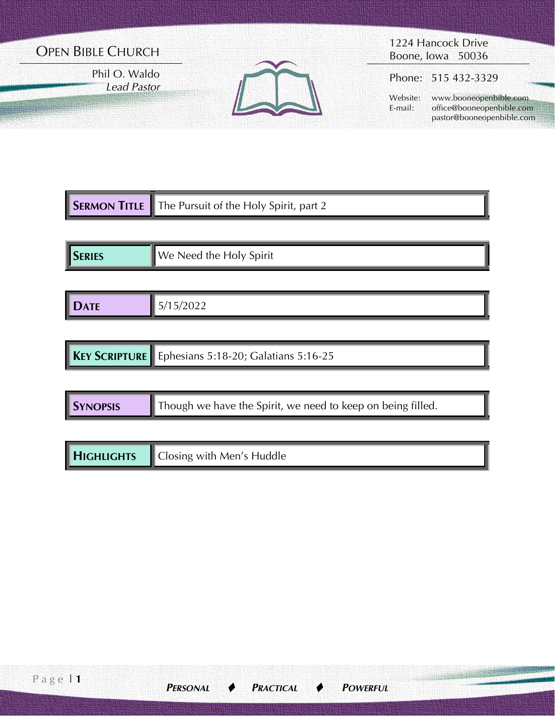# OPEN BIBLE CHURCH

Phil O. Waldo *Lead Pastor*



1224 Hancock Drive Boone, Iowa 50036

Phone: 515 432-3329

 Website: www.booneopenbible.com E-mail: office@booneopenbible.com pastor@booneopenbible.com

|               | <b>SERMON TITLE</b> The Pursuit of the Holy Spirit, part 2 |
|---------------|------------------------------------------------------------|
|               |                                                            |
| <b>SERIES</b> | ■ We Need the Holy Spirit                                  |

| . .<br>$\Lambda$ TF<br><b>.</b><br>$\mathbf{v}$ |
|-------------------------------------------------|
|-------------------------------------------------|

|  |  | <b>KEY SCRIPTURE</b> Ephesians 5:18-20; Galatians 5:16-25 |
|--|--|-----------------------------------------------------------|
|--|--|-----------------------------------------------------------|

| <b>SYNOPSIS</b> | $\blacksquare$ Though we have the Spirit, we need to keep on being filled. |  |
|-----------------|----------------------------------------------------------------------------|--|
|-----------------|----------------------------------------------------------------------------|--|

| <b>HIGHLIGHTS</b> | $\sim$<br>Closing with Men's Huddle |
|-------------------|-------------------------------------|
|-------------------|-------------------------------------|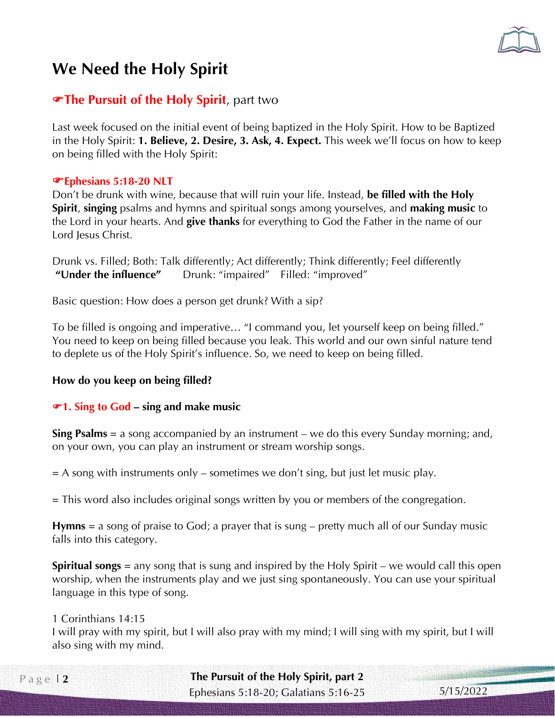

# **We Need the Holy Spirit**

# **The Pursuit of the Holy Spirit**, part two

Last week focused on the initial event of being baptized in the Holy Spirit. How to be Baptized in the Holy Spirit: **1. Believe, 2. Desire, 3. Ask, 4. Expect.** This week we'll focus on how to keep on being filled with the Holy Spirit:

## **Ephesians 5:18-20 NLT**

Don't be drunk with wine, because that will ruin your life. Instead, **be filled with the Holy Spirit**, **singing** psalms and hymns and spiritual songs among yourselves, and **making music** to the Lord in your hearts. And **give thanks** for everything to God the Father in the name of our Lord Jesus Christ.

Drunk vs. Filled; Both: Talk differently; Act differently; Think differently; Feel differently **"Under the influence"** Drunk: "impaired" Filled: "improved"

Basic question: How does a person get drunk? With a sip?

To be filled is ongoing and imperative… "I command you, let yourself keep on being filled." You need to keep on being filled because you leak. This world and our own sinful nature tend to deplete us of the Holy Spirit's influence. So, we need to keep on being filled.

# **How do you keep on being filled?**

# **1. Sing to God – sing and make music**

**Sing Psalms** = a song accompanied by an instrument – we do this every Sunday morning; and, on your own, you can play an instrument or stream worship songs.

 $=$  A song with instruments only – sometimes we don't sing, but just let music play.

= This word also includes original songs written by you or members of the congregation.

**Hymns** = a song of praise to God; a prayer that is sung – pretty much all of our Sunday music falls into this category.

**Spiritual songs** = any song that is sung and inspired by the Holy Spirit – we would call this open worship, when the instruments play and we just sing spontaneously. You can use your spiritual language in this type of song.

#### 1 Corinthians 14:15

I will pray with my spirit, but I will also pray with my mind; I will sing with my spirit, but I will also sing with my mind.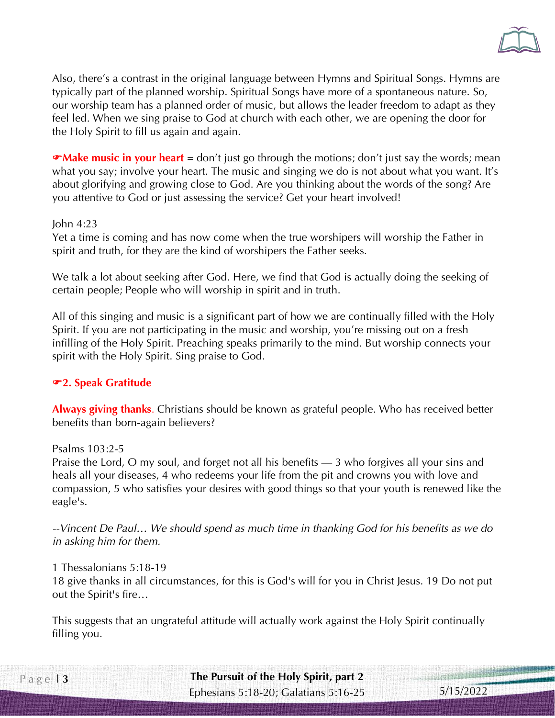

Also, there's a contrast in the original language between Hymns and Spiritual Songs. Hymns are typically part of the planned worship. Spiritual Songs have more of a spontaneous nature. So, our worship team has a planned order of music, but allows the leader freedom to adapt as they feel led. When we sing praise to God at church with each other, we are opening the door for the Holy Spirit to fill us again and again.

**Make music in your heart** = don't just go through the motions; don't just say the words; mean what you say; involve your heart. The music and singing we do is not about what you want. It's about glorifying and growing close to God. Are you thinking about the words of the song? Are you attentive to God or just assessing the service? Get your heart involved!

#### John 4:23

Yet a time is coming and has now come when the true worshipers will worship the Father in spirit and truth, for they are the kind of worshipers the Father seeks.

We talk a lot about seeking after God. Here, we find that God is actually doing the seeking of certain people; People who will worship in spirit and in truth.

All of this singing and music is a significant part of how we are continually filled with the Holy Spirit. If you are not participating in the music and worship, you're missing out on a fresh infilling of the Holy Spirit. Preaching speaks primarily to the mind. But worship connects your spirit with the Holy Spirit. Sing praise to God.

#### **2. Speak Gratitude**

**Always giving thanks**. Christians should be known as grateful people. Who has received better benefits than born-again believers?

Psalms 103:2-5

Praise the Lord, O my soul, and forget not all his benefits — 3 who forgives all your sins and heals all your diseases, 4 who redeems your life from the pit and crowns you with love and compassion, 5 who satisfies your desires with good things so that your youth is renewed like the eagle's.

*--Vincent De Paul… We should spend as much time in thanking God for his benefits as we do in asking him for them.* 

1 Thessalonians 5:18-19 18 give thanks in all circumstances, for this is God's will for you in Christ Jesus. 19 Do not put out the Spirit's fire…

This suggests that an ungrateful attitude will actually work against the Holy Spirit continually filling you.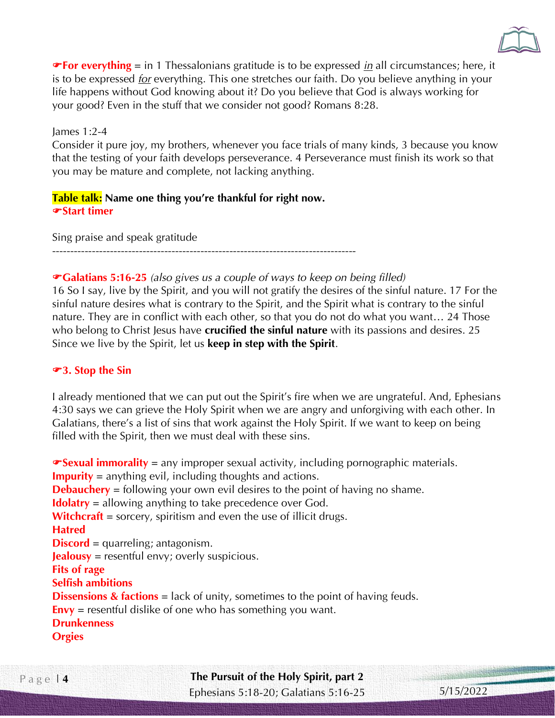

**For everything** = in 1 Thessalonians gratitude is to be expressed *in* all circumstances; here, it is to be expressed *for* everything. This one stretches our faith. Do you believe anything in your life happens without God knowing about it? Do you believe that God is always working for your good? Even in the stuff that we consider not good? Romans 8:28.

#### James 1:2-4

Consider it pure joy, my brothers, whenever you face trials of many kinds, 3 because you know that the testing of your faith develops perseverance. 4 Perseverance must finish its work so that you may be mature and complete, not lacking anything.

## **Table talk: Name one thing you're thankful for right now. Start timer**

Sing praise and speak gratitude ------------------------------------------------------------------------------------

## **Galatians 5:16-25** *(also gives us a couple of ways to keep on being filled)*

16 So I say, live by the Spirit, and you will not gratify the desires of the sinful nature. 17 For the sinful nature desires what is contrary to the Spirit, and the Spirit what is contrary to the sinful nature. They are in conflict with each other, so that you do not do what you want… 24 Those who belong to Christ Jesus have **crucified the sinful nature** with its passions and desires. 25 Since we live by the Spirit, let us **keep in step with the Spirit**.

#### **3. Stop the Sin**

I already mentioned that we can put out the Spirit's fire when we are ungrateful. And, Ephesians 4:30 says we can grieve the Holy Spirit when we are angry and unforgiving with each other. In Galatians, there's a list of sins that work against the Holy Spirit. If we want to keep on being filled with the Spirit, then we must deal with these sins.

**Sexual immorality** = any improper sexual activity, including pornographic materials. **Impurity** = anything evil, including thoughts and actions. **Debauchery** = following your own evil desires to the point of having no shame. **Idolatry** = allowing anything to take precedence over God. **Witchcraft** = sorcery, spiritism and even the use of illicit drugs. **Hatred Discord** = quarreling; antagonism. **Jealousy** = resentful envy; overly suspicious. **Fits of rage Selfish ambitions Dissensions & factions** = lack of unity, sometimes to the point of having feuds. **Envy** = resentful dislike of one who has something you want. **Drunkenness Orgies**